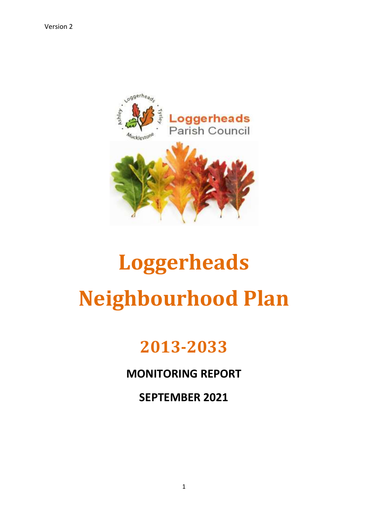

# **Loggerheads Neighbourhood Plan**

## **2013-2033**

### **MONITORING REPORT**

**SEPTEMBER 2021**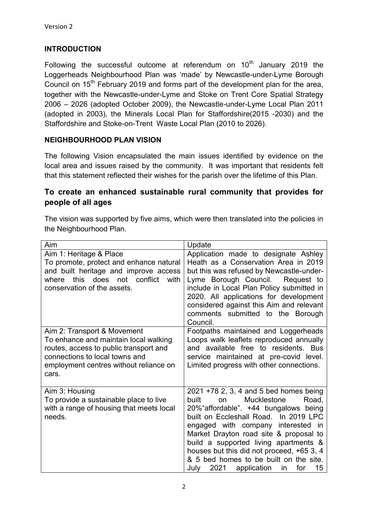#### **INTRODUCTION**

Following the successful outcome at referendum on  $10<sup>th</sup>$  January 2019 the Loggerheads Neighbourhood Plan was 'made' by Newcastle-under-Lyme Borough Council on  $15<sup>th</sup>$  February 2019 and forms part of the development plan for the area, together with the Newcastle-under-Lyme and Stoke on Trent Core Spatial Strategy 2006 – 2026 (adopted October 2009), the Newcastle-under-Lyme Local Plan 2011 (adopted in 2003), the Minerals Local Plan for Staffordshire(2015 -2030) and the Staffordshire and Stoke-on-Trent Waste Local Plan (2010 to 2026).

#### **NEIGHBOURHOOD PLAN VISION**

The following Vision encapsulated the main issues identified by evidence on the local area and issues raised by the community. It was important that residents felt that this statement reflected their wishes for the parish over the lifetime of this Plan.

#### **To create an enhanced sustainable rural community that provides for people of all ages**

The vision was supported by five aims, which were then translated into the policies in the Neighbourhood Plan.

| Aim                                                                                                                                                                                                 | Update                                                                                                                                                                                                                                                                                                                                                                                                                                      |
|-----------------------------------------------------------------------------------------------------------------------------------------------------------------------------------------------------|---------------------------------------------------------------------------------------------------------------------------------------------------------------------------------------------------------------------------------------------------------------------------------------------------------------------------------------------------------------------------------------------------------------------------------------------|
| Aim 1: Heritage & Place<br>To promote, protect and enhance natural<br>and built heritage and improve access<br>conflict<br>does<br>this<br>not<br>with<br>where<br>conservation of the assets.      | Application made to designate Ashley<br>Heath as a Conservation Area in 2019<br>but this was refused by Newcastle-under-<br>Lyme Borough Council. Request to<br>include in Local Plan Policy submitted in<br>2020. All applications for development<br>considered against this Aim and relevant<br>comments submitted to the Borough<br>Council.                                                                                            |
| Aim 2: Transport & Movement<br>To enhance and maintain local walking<br>routes, access to public transport and<br>connections to local towns and<br>employment centres without reliance on<br>cars. | Footpaths maintained and Loggerheads<br>Loops walk leaflets reproduced annually<br>and available free to residents. Bus<br>service maintained at pre-covid level.<br>Limited progress with other connections.                                                                                                                                                                                                                               |
| Aim 3: Housing<br>To provide a sustainable place to live<br>with a range of housing that meets local<br>needs.                                                                                      | 2021 +78 2, 3, 4 and 5 bed homes being<br>built<br><b>Mucklestone</b><br>Road,<br>on<br>20% affordable". +44 bungalows being<br>built on Eccleshall Road. In 2019 LPC<br>engaged with company interested in<br>Market Drayton road site & proposal to<br>build a supported living apartments &<br>houses but this did not proceed, +65 3, 4<br>& 5 bed homes to be built on the site.<br>2021 application<br>15<br>for<br>July<br><i>in</i> |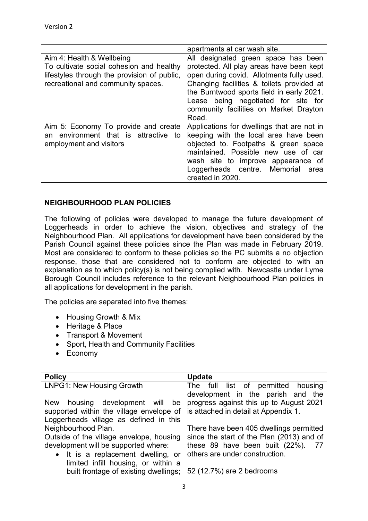|                                                                                                                               | apartments at car wash site.                                                                                                                                                                                                                                              |
|-------------------------------------------------------------------------------------------------------------------------------|---------------------------------------------------------------------------------------------------------------------------------------------------------------------------------------------------------------------------------------------------------------------------|
| Aim 4: Health & Wellbeing                                                                                                     | All designated green space has been                                                                                                                                                                                                                                       |
| To cultivate social cohesion and healthy<br>lifestyles through the provision of public,<br>recreational and community spaces. | protected. All play areas have been kept<br>open during covid. Allotments fully used.<br>Changing facilities & toilets provided at<br>the Burntwood sports field in early 2021.<br>Lease being negotiated for site for<br>community facilities on Market Drayton<br>Road. |
| Aim 5: Economy To provide and create<br>environment that is attractive to<br>an<br>employment and visitors                    | Applications for dwellings that are not in<br>keeping with the local area have been<br>objected to. Footpaths & green space<br>maintained. Possible new use of car<br>wash site to improve appearance of<br>Loggerheads centre. Memorial<br>area<br>created in 2020.      |

#### **NEIGHBOURHOOD PLAN POLICIES**

The following of policies were developed to manage the future development of Loggerheads in order to achieve the vision, objectives and strategy of the Neighbourhood Plan. All applications for development have been considered by the Parish Council against these policies since the Plan was made in February 2019. Most are considered to conform to these policies so the PC submits a no objection response, those that are considered not to conform are objected to with an explanation as to which policy(s) is not being complied with. Newcastle under Lyme Borough Council includes reference to the relevant Neighbourhood Plan policies in all applications for development in the parish.

The policies are separated into five themes:

- Housing Growth & Mix
- Heritage & Place
- Transport & Movement
- Sport, Health and Community Facilities
- Economy

| <b>Policy</b>                                                                         | <b>Update</b>                             |
|---------------------------------------------------------------------------------------|-------------------------------------------|
| <b>LNPG1: New Housing Growth</b>                                                      | The full list of permitted housing        |
|                                                                                       | development in the parish and the         |
| New housing development will<br>be                                                    | progress against this up to August 2021   |
| supported within the village envelope of $\vert$ is attached in detail at Appendix 1. |                                           |
| Loggerheads village as defined in this                                                |                                           |
| Neighbourhood Plan.                                                                   | There have been 405 dwellings permitted   |
| Outside of the village envelope, housing                                              | since the start of the Plan (2013) and of |
| development will be supported where:                                                  | these 89 have been built (22%).           |
| • It is a replacement dwelling, or                                                    | others are under construction.            |
| limited infill housing, or within a                                                   |                                           |
| built frontage of existing dwellings;                                                 | 52 (12.7%) are 2 bedrooms                 |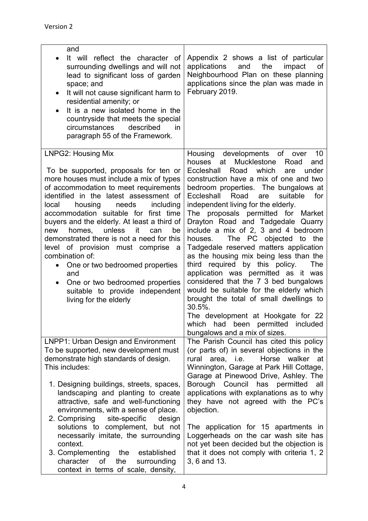| and<br>It will reflect the character of<br>surrounding dwellings and will not<br>lead to significant loss of garden<br>space; and<br>It will not cause significant harm to<br>$\bullet$<br>residential amenity; or<br>It is a new isolated home in the<br>$\bullet$<br>countryside that meets the special<br>described<br>circumstances<br>in.<br>paragraph 55 of the Framework.                                                                                                                                                                                                                                                              | Appendix 2 shows a list of particular<br>the<br>applications<br>and<br>impact<br>of<br>Neighbourhood Plan on these planning<br>applications since the plan was made in<br>February 2019.                                                                                                                                                                                                                                                                                                                                                                                                                                                                                                                                                                                                                                                                                                          |
|-----------------------------------------------------------------------------------------------------------------------------------------------------------------------------------------------------------------------------------------------------------------------------------------------------------------------------------------------------------------------------------------------------------------------------------------------------------------------------------------------------------------------------------------------------------------------------------------------------------------------------------------------|---------------------------------------------------------------------------------------------------------------------------------------------------------------------------------------------------------------------------------------------------------------------------------------------------------------------------------------------------------------------------------------------------------------------------------------------------------------------------------------------------------------------------------------------------------------------------------------------------------------------------------------------------------------------------------------------------------------------------------------------------------------------------------------------------------------------------------------------------------------------------------------------------|
| <b>LNPG2: Housing Mix</b><br>To be supported, proposals for ten or<br>more houses must include a mix of types<br>of accommodation to meet requirements<br>identified in the latest assessment of<br>housing<br>local<br>needs<br>including<br>accommodation suitable for first time<br>buyers and the elderly. At least a third of<br>unless<br>it<br>be<br>homes,<br>can<br>new<br>demonstrated there is not a need for this<br>level of provision must comprise a<br>combination of:<br>One or two bedroomed properties<br>$\bullet$<br>and<br>One or two bedroomed properties<br>suitable to provide independent<br>living for the elderly | developments<br>Housing<br>of over<br>10<br>Mucklestone<br>houses at<br>Road<br>and<br>Eccleshall<br>Road<br>which<br>under<br>are<br>construction have a mix of one and two<br>bedroom properties. The bungalows at<br>Eccleshall Road<br>are<br>suitable<br>for<br>independent living for the elderly.<br>The proposals permitted for Market<br>Drayton Road and Tadgedale Quarry<br>include a mix of 2, 3 and 4 bedroom<br>The PC objected to<br>houses.<br>the<br>Tadgedale reserved matters application<br>as the housing mix being less than the<br>third required by this policy.<br>The<br>application was permitted as it was<br>considered that the 7 3 bed bungalows<br>would be suitable for the elderly which<br>brought the total of small dwellings to<br>30.5%.<br>The development at Hookgate for 22<br>which<br>had been permitted<br>included<br>bungalows and a mix of sizes. |
| LNPP1: Urban Design and Environment<br>To be supported, new development must<br>demonstrate high standards of design.<br>This includes:<br>1. Designing buildings, streets, spaces,<br>landscaping and planting to create<br>attractive, safe and well-functioning<br>environments, with a sense of place.                                                                                                                                                                                                                                                                                                                                    | The Parish Council has cited this policy<br>(or parts of) in several objections in the<br>rural area, i.e.<br>Horse walker<br>at<br>Winnington, Garage at Park Hill Cottage,<br>Garage at Pinewood Drive, Ashley. The<br>Borough Council has permitted<br>all<br>applications with explanations as to why<br>they have not agreed with the PC's<br>objection.                                                                                                                                                                                                                                                                                                                                                                                                                                                                                                                                     |
| 2. Comprising<br>site-specific<br>design<br>solutions to complement, but not<br>necessarily imitate, the surrounding<br>context.<br>3. Complementing<br>established<br>the<br>character<br>of<br>the<br>surrounding<br>context in terms of scale, density,                                                                                                                                                                                                                                                                                                                                                                                    | The application for 15 apartments in<br>Loggerheads on the car wash site has<br>not yet been decided but the objection is<br>that it does not comply with criteria 1, 2<br>3, 6 and 13.                                                                                                                                                                                                                                                                                                                                                                                                                                                                                                                                                                                                                                                                                                           |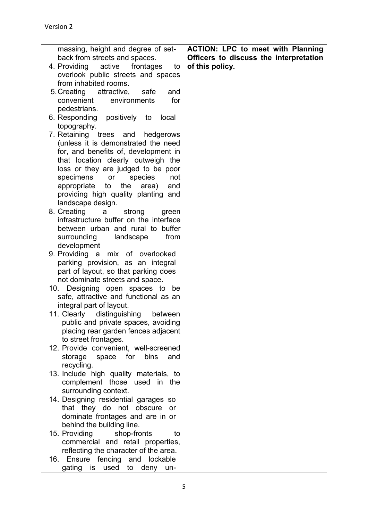| massing, height and degree of set-     | <b>ACTION: LPC to meet with Planning</b> |
|----------------------------------------|------------------------------------------|
| back from streets and spaces.          | Officers to discuss the interpretation   |
| 4. Providing active frontages<br>to    | of this policy.                          |
| overlook public streets and spaces     |                                          |
| from inhabited rooms.                  |                                          |
| 5. Creating attractive,<br>safe<br>and |                                          |
| environments<br>for<br>convenient      |                                          |
| pedestrians.                           |                                          |
|                                        |                                          |
| 6. Responding positively to<br>local   |                                          |
| topography.                            |                                          |
| 7. Retaining trees and hedgerows       |                                          |
| (unless it is demonstrated the need    |                                          |
| for, and benefits of, development in   |                                          |
| that location clearly outweigh the     |                                          |
| loss or they are judged to be poor     |                                          |
| specimens or<br>species<br>not         |                                          |
| appropriate to the area)<br>and        |                                          |
| providing high quality planting and    |                                          |
|                                        |                                          |
| landscape design.                      |                                          |
| 8. Creating<br>strong<br>a a<br>green  |                                          |
| infrastructure buffer on the interface |                                          |
| between urban and rural to buffer      |                                          |
| surrounding<br>landscape<br>from       |                                          |
| development                            |                                          |
| 9. Providing a<br>mix of overlooked    |                                          |
| parking provision, as an integral      |                                          |
| part of layout, so that parking does   |                                          |
| not dominate streets and space.        |                                          |
| Designing open spaces to be<br>10.     |                                          |
|                                        |                                          |
| safe, attractive and functional as an  |                                          |
| integral part of layout.               |                                          |
| 11. Clearly distinguishing<br>between  |                                          |
| public and private spaces, avoiding    |                                          |
| placing rear garden fences adjacent    |                                          |
| to street frontages.                   |                                          |
| 12. Provide convenient, well-screened  |                                          |
| storage<br>space for<br>bins<br>and    |                                          |
| recycling.                             |                                          |
| 13. Include high quality materials, to |                                          |
| complement those used in the           |                                          |
| surrounding context.                   |                                          |
|                                        |                                          |
| 14. Designing residential garages so   |                                          |
| that they do not obscure<br>or         |                                          |
| dominate frontages and are in or       |                                          |
| behind the building line.              |                                          |
| 15. Providing<br>shop-fronts<br>to     |                                          |
| commercial and retail properties,      |                                          |
| reflecting the character of the area.  |                                          |
| Ensure fencing and lockable<br>16.     |                                          |
| gating is used to deny un-             |                                          |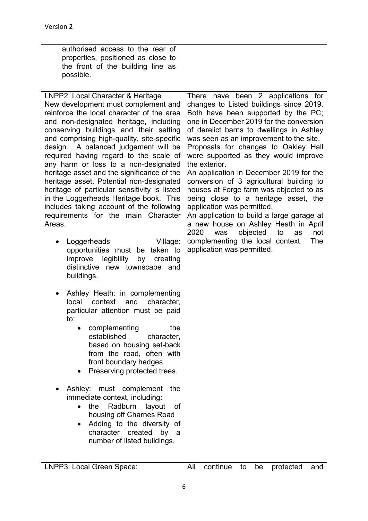| authorised access to the rear of<br>properties, positioned as close to<br>the front of the building line as<br>possible.                                                                                                                                                                                                                                                                                                                                                                                                                                                                                                                                                                                                                                                                                               |                                                                                                                                                                                                                                                                                                                                                                                                                                                                                                                                                                                                                                                                                                                                                                             |
|------------------------------------------------------------------------------------------------------------------------------------------------------------------------------------------------------------------------------------------------------------------------------------------------------------------------------------------------------------------------------------------------------------------------------------------------------------------------------------------------------------------------------------------------------------------------------------------------------------------------------------------------------------------------------------------------------------------------------------------------------------------------------------------------------------------------|-----------------------------------------------------------------------------------------------------------------------------------------------------------------------------------------------------------------------------------------------------------------------------------------------------------------------------------------------------------------------------------------------------------------------------------------------------------------------------------------------------------------------------------------------------------------------------------------------------------------------------------------------------------------------------------------------------------------------------------------------------------------------------|
| LNPP2: Local Character & Heritage<br>New development must complement and<br>reinforce the local character of the area<br>and non-designated heritage, including<br>conserving buildings and their setting<br>and comprising high-quality, site-specific<br>design. A balanced judgement will be<br>required having regard to the scale of<br>any harm or loss to a non-designated<br>heritage asset and the significance of the<br>heritage asset. Potential non-designated<br>heritage of particular sensitivity is listed<br>in the Loggerheads Heritage book. This<br>includes taking account of the following<br>requirements for the main Character<br>Areas.<br>Loggerheads<br>Village:<br>opportunities must be taken to<br>improve legibility<br>by<br>creating<br>distinctive new townscape and<br>buildings. | There have been 2 applications for<br>changes to Listed buildings since 2019.<br>Both have been supported by the PC;<br>one in December 2019 for the conversion<br>of derelict barns to dwellings in Ashley<br>was seen as an improvement to the site.<br>Proposals for changes to Oakley Hall<br>were supported as they would improve<br>the exterior.<br>An application in December 2019 for the<br>conversion of 3 agricultural building to<br>houses at Forge farm was objected to as<br>being close to a heritage asset, the<br>application was permitted.<br>An application to build a large garage at<br>a new house on Ashley Heath in April<br>2020<br>objected<br>was<br>to<br>not<br>as<br>complementing the local context.<br>The<br>application was permitted. |
| Ashley Heath: in complementing<br>local<br>context<br>and<br>character,<br>particular attention must be paid<br>to:                                                                                                                                                                                                                                                                                                                                                                                                                                                                                                                                                                                                                                                                                                    |                                                                                                                                                                                                                                                                                                                                                                                                                                                                                                                                                                                                                                                                                                                                                                             |
| complementing<br>the<br>$\bullet$<br>established<br>character,<br>based on housing set-back<br>from the road, often with<br>front boundary hedges<br>Preserving protected trees.                                                                                                                                                                                                                                                                                                                                                                                                                                                                                                                                                                                                                                       |                                                                                                                                                                                                                                                                                                                                                                                                                                                                                                                                                                                                                                                                                                                                                                             |
| Ashley: must complement<br>the<br>immediate context, including:<br>the Radburn<br>layout<br>оf<br>$\bullet$<br>housing off Charnes Road<br>Adding to the diversity of<br>$\bullet$<br>character created<br>by<br>a<br>number of listed buildings.                                                                                                                                                                                                                                                                                                                                                                                                                                                                                                                                                                      |                                                                                                                                                                                                                                                                                                                                                                                                                                                                                                                                                                                                                                                                                                                                                                             |
| LNPP3: Local Green Space:                                                                                                                                                                                                                                                                                                                                                                                                                                                                                                                                                                                                                                                                                                                                                                                              | continue<br>All<br>to<br>be<br>protected<br>and                                                                                                                                                                                                                                                                                                                                                                                                                                                                                                                                                                                                                                                                                                                             |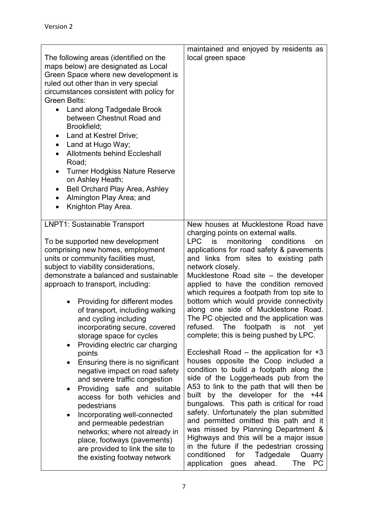| The following areas (identified on the<br>maps below) are designated as Local<br>Green Space where new development is<br>ruled out other than in very special<br>circumstances consistent with policy for<br>Green Belts:<br>Land along Tadgedale Brook<br>$\bullet$<br>between Chestnut Road and<br>Brookfield;<br>Land at Kestrel Drive;<br>$\bullet$<br>Land at Hugo Way;<br>٠<br><b>Allotments behind Eccleshall</b><br>$\bullet$<br>Road;<br><b>Turner Hodgkiss Nature Reserve</b><br>٠<br>on Ashley Heath;<br><b>Bell Orchard Play Area, Ashley</b><br>٠<br>Almington Play Area; and<br>$\bullet$<br>Knighton Play Area.<br>$\bullet$                                                                                                                                                                                                                                                          | maintained and enjoyed by residents as<br>local green space                                                                                                                                                                                                                                                                                                                                                                                                                                                                                                                                                                                                                                                                                                                                                                                                                                                                                                                                                                                                                                                                                                                                               |
|------------------------------------------------------------------------------------------------------------------------------------------------------------------------------------------------------------------------------------------------------------------------------------------------------------------------------------------------------------------------------------------------------------------------------------------------------------------------------------------------------------------------------------------------------------------------------------------------------------------------------------------------------------------------------------------------------------------------------------------------------------------------------------------------------------------------------------------------------------------------------------------------------|-----------------------------------------------------------------------------------------------------------------------------------------------------------------------------------------------------------------------------------------------------------------------------------------------------------------------------------------------------------------------------------------------------------------------------------------------------------------------------------------------------------------------------------------------------------------------------------------------------------------------------------------------------------------------------------------------------------------------------------------------------------------------------------------------------------------------------------------------------------------------------------------------------------------------------------------------------------------------------------------------------------------------------------------------------------------------------------------------------------------------------------------------------------------------------------------------------------|
| <b>LNPT1: Sustainable Transport</b><br>To be supported new development<br>comprising new homes, employment<br>units or community facilities must,<br>subject to viability considerations,<br>demonstrate a balanced and sustainable<br>approach to transport, including:<br>Providing for different modes<br>$\bullet$<br>of transport, including walking<br>and cycling including<br>incorporating secure, covered<br>storage space for cycles<br>Providing electric car charging<br>$\bullet$<br>points<br>Ensuring there is no significant<br>negative impact on road safety<br>and severe traffic congestion<br>Providing safe and suitable<br>access for both vehicles and<br>pedestrians<br>Incorporating well-connected<br>٠<br>and permeable pedestrian<br>networks; where not already in<br>place, footways (pavements)<br>are provided to link the site to<br>the existing footway network | New houses at Mucklestone Road have<br>charging points on external walls.<br><b>LPC</b><br>is<br>monitoring<br>conditions<br>on<br>applications for road safety & pavements<br>and links from sites to existing path<br>network closely.<br>Mucklestone Road site – the developer<br>applied to have the condition removed<br>which requires a footpath from top site to<br>bottom which would provide connectivity<br>along one side of Mucklestone Road.<br>The PC objected and the application was<br>The footpath is not yet<br>refused.<br>complete; this is being pushed by LPC.<br>Eccleshall Road $-$ the application for $+3$<br>houses opposite the Coop included a<br>condition to build a footpath along the<br>side of the Loggerheads pub from the<br>A53 to link to the path that will then be<br>built by the developer for the +44<br>bungalows. This path is critical for road<br>safety. Unfortunately the plan submitted<br>and permitted omitted this path and it<br>was missed by Planning Department &<br>Highways and this will be a major issue<br>in the future if the pedestrian crossing<br>conditioned<br>for Tadgedale<br>Quarry<br>ahead.<br>application goes<br>The<br>PC |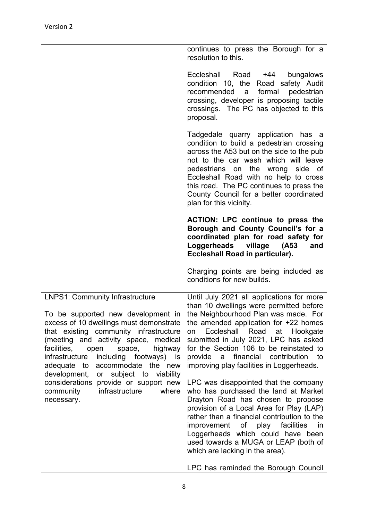|                                                                                                                                                                                                                                                                                                                                                                                    | continues to press the Borough for a<br>resolution to this.                                                                                                                                                                                                                                                                                                                              |
|------------------------------------------------------------------------------------------------------------------------------------------------------------------------------------------------------------------------------------------------------------------------------------------------------------------------------------------------------------------------------------|------------------------------------------------------------------------------------------------------------------------------------------------------------------------------------------------------------------------------------------------------------------------------------------------------------------------------------------------------------------------------------------|
|                                                                                                                                                                                                                                                                                                                                                                                    | Eccleshall Road +44 bungalows<br>condition 10, the Road safety Audit<br>formal<br>recommended<br>pedestrian<br>a<br>crossing, developer is proposing tactile<br>crossings. The PC has objected to this<br>proposal.                                                                                                                                                                      |
|                                                                                                                                                                                                                                                                                                                                                                                    | Tadgedale quarry application has a<br>condition to build a pedestrian crossing<br>across the A53 but on the side to the pub<br>not to the car wash which will leave<br>pedestrians on the wrong side of<br>Eccleshall Road with no help to cross<br>this road. The PC continues to press the<br>County Council for a better coordinated<br>plan for this vicinity.                       |
|                                                                                                                                                                                                                                                                                                                                                                                    | <b>ACTION: LPC continue to press the</b><br>Borough and County Council's for a<br>coordinated plan for road safety for<br>Loggerheads village (A53<br>and<br>Eccleshall Road in particular).                                                                                                                                                                                             |
|                                                                                                                                                                                                                                                                                                                                                                                    | Charging points are being included as<br>conditions for new builds.                                                                                                                                                                                                                                                                                                                      |
| <b>LNPS1: Community Infrastructure</b><br>To be supported new development in<br>excess of 10 dwellings must demonstrate<br>that existing community infrastructure<br>(meeting and activity space, medical<br>facilities,<br>open<br>space,<br>highway<br>infrastructure<br>including footways) is<br>accommodate the new<br>adequate to<br>development,<br>or subject to viability | Until July 2021 all applications for more<br>than 10 dwellings were permitted before<br>the Neighbourhood Plan was made. For<br>the amended application for +22 homes<br>Eccleshall Road at Hookgate<br>on<br>submitted in July 2021, LPC has asked<br>for the Section 106 to be reinstated to<br>a financial contribution<br>provide<br>to<br>improving play facilities in Loggerheads. |
| considerations provide or support new<br>infrastructure<br>community<br>where<br>necessary.                                                                                                                                                                                                                                                                                        | LPC was disappointed that the company<br>who has purchased the land at Market<br>Drayton Road has chosen to propose<br>provision of a Local Area for Play (LAP)<br>rather than a financial contribution to the<br>improvement of play facilities<br>in<br>Loggerheads which could have been<br>used towards a MUGA or LEAP (both of<br>which are lacking in the area).                   |
|                                                                                                                                                                                                                                                                                                                                                                                    | LPC has reminded the Borough Council                                                                                                                                                                                                                                                                                                                                                     |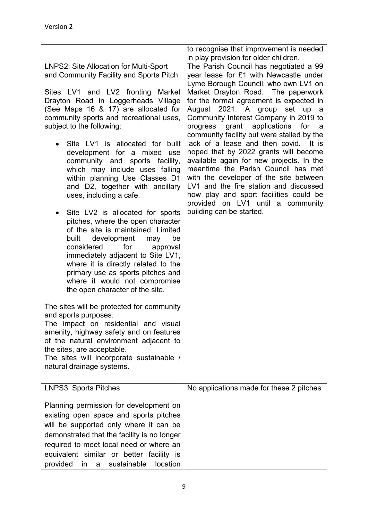|                                                                                                                                                                                                                                                                                                                                                                                                                                                                                                                                                                                                                                                                                                                                                                                                                                                                                                                                                                                                                                                                                                                                                                                                           | to recognise that improvement is needed                                                                                                                                                                                                                                                                                                                                                                                                                                                                                                                                                                                                                                                                                                                                                        |
|-----------------------------------------------------------------------------------------------------------------------------------------------------------------------------------------------------------------------------------------------------------------------------------------------------------------------------------------------------------------------------------------------------------------------------------------------------------------------------------------------------------------------------------------------------------------------------------------------------------------------------------------------------------------------------------------------------------------------------------------------------------------------------------------------------------------------------------------------------------------------------------------------------------------------------------------------------------------------------------------------------------------------------------------------------------------------------------------------------------------------------------------------------------------------------------------------------------|------------------------------------------------------------------------------------------------------------------------------------------------------------------------------------------------------------------------------------------------------------------------------------------------------------------------------------------------------------------------------------------------------------------------------------------------------------------------------------------------------------------------------------------------------------------------------------------------------------------------------------------------------------------------------------------------------------------------------------------------------------------------------------------------|
| LNPS2: Site Allocation for Multi-Sport<br>and Community Facility and Sports Pitch<br>Sites LV1 and LV2 fronting Market<br>Drayton Road in Loggerheads Village<br>(See Maps 16 & 17) are allocated for<br>community sports and recreational uses,<br>subject to the following:<br>Site LV1 is allocated for built<br>development for a mixed<br>use<br>community and sports facility,<br>which may include uses falling<br>within planning Use Classes D1<br>and D2, together with ancillary<br>uses, including a cafe.<br>Site LV2 is allocated for sports<br>pitches, where the open character<br>of the site is maintained. Limited<br>built<br>development<br>be<br>may<br>considered<br>for<br>approval<br>immediately adjacent to Site LV1,<br>where it is directly related to the<br>primary use as sports pitches and<br>where it would not compromise<br>the open character of the site.<br>The sites will be protected for community<br>and sports purposes.<br>The impact on residential and visual<br>amenity, highway safety and on features<br>of the natural environment adjacent to<br>the sites, are acceptable.<br>The sites will incorporate sustainable /<br>natural drainage systems. | in play provision for older children.<br>The Parish Council has negotiated a 99<br>year lease for £1 with Newcastle under<br>Lyme Borough Council, who own LV1 on<br>Market Drayton Road. The paperwork<br>for the formal agreement is expected in<br>August 2021. A group<br>set up<br>- a<br>Community Interest Company in 2019 to<br>progress grant applications<br>for a<br>community facility but were stalled by the<br>lack of a lease and then covid. It is<br>hoped that by 2022 grants will become<br>available again for new projects. In the<br>meantime the Parish Council has met<br>with the developer of the site between<br>LV1 and the fire station and discussed<br>how play and sport facilities could be<br>provided on LV1 until a community<br>building can be started. |
| <b>LNPS3: Sports Pitches</b>                                                                                                                                                                                                                                                                                                                                                                                                                                                                                                                                                                                                                                                                                                                                                                                                                                                                                                                                                                                                                                                                                                                                                                              | No applications made for these 2 pitches                                                                                                                                                                                                                                                                                                                                                                                                                                                                                                                                                                                                                                                                                                                                                       |
| Planning permission for development on<br>existing open space and sports pitches<br>will be supported only where it can be<br>demonstrated that the facility is no longer<br>required to meet local need or where an<br>equivalent similar or better facility is<br>provided<br>sustainable<br>in<br>location<br>a                                                                                                                                                                                                                                                                                                                                                                                                                                                                                                                                                                                                                                                                                                                                                                                                                                                                                        |                                                                                                                                                                                                                                                                                                                                                                                                                                                                                                                                                                                                                                                                                                                                                                                                |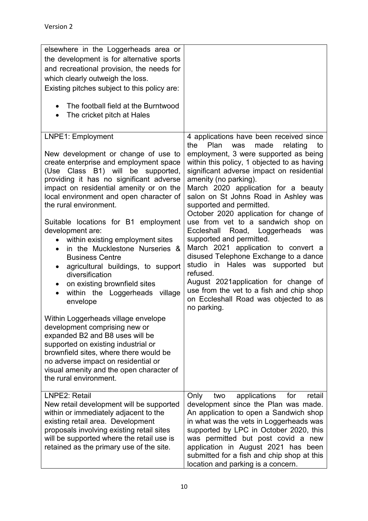| elsewhere in the Loggerheads area or<br>the development is for alternative sports<br>and recreational provision, the needs for<br>which clearly outweigh the loss.<br>Existing pitches subject to this policy are:<br>The football field at the Burntwood<br>The cricket pitch at Hales<br>$\bullet$                                                                                                                                                                                                                                                                                                                                                                                                                                                                                                                                                                                                                                                     |                                                                                                                                                                                                                                                                                                                                                                                                                                                                                                                                                                                                                                                                                                                                                                                                     |
|----------------------------------------------------------------------------------------------------------------------------------------------------------------------------------------------------------------------------------------------------------------------------------------------------------------------------------------------------------------------------------------------------------------------------------------------------------------------------------------------------------------------------------------------------------------------------------------------------------------------------------------------------------------------------------------------------------------------------------------------------------------------------------------------------------------------------------------------------------------------------------------------------------------------------------------------------------|-----------------------------------------------------------------------------------------------------------------------------------------------------------------------------------------------------------------------------------------------------------------------------------------------------------------------------------------------------------------------------------------------------------------------------------------------------------------------------------------------------------------------------------------------------------------------------------------------------------------------------------------------------------------------------------------------------------------------------------------------------------------------------------------------------|
| LNPE1: Employment<br>New development or change of use to<br>create enterprise and employment space<br>(Use Class B1) will be supported,<br>providing it has no significant adverse<br>impact on residential amenity or on the<br>local environment and open character of<br>the rural environment.<br>Suitable locations for B1 employment<br>development are:<br>within existing employment sites<br>in the Mucklestone Nurseries &<br>$\bullet$<br><b>Business Centre</b><br>agricultural buildings, to support<br>$\bullet$<br>diversification<br>on existing brownfield sites<br>within the Loggerheads<br>village<br>$\bullet$<br>envelope<br>Within Loggerheads village envelope<br>development comprising new or<br>expanded B2 and B8 uses will be<br>supported on existing industrial or<br>brownfield sites, where there would be<br>no adverse impact on residential or<br>visual amenity and the open character of<br>the rural environment. | 4 applications have been received since<br>the<br>Plan<br>made<br>was<br>relating<br>to<br>employment, 3 were supported as being<br>within this policy, 1 objected to as having<br>significant adverse impact on residential<br>amenity (no parking).<br>March 2020 application for a beauty<br>salon on St Johns Road in Ashley was<br>supported and permitted.<br>October 2020 application for change of<br>use from vet to a sandwich shop on<br>Eccleshall<br>Road, Loggerheads<br>was<br>supported and permitted.<br>March 2021 application to convert a<br>disused Telephone Exchange to a dance<br>studio in Hales was supported but<br>refused.<br>August 2021application for change of<br>use from the vet to a fish and chip shop<br>on Eccleshall Road was objected to as<br>no parking. |
| LNPE2: Retail<br>New retail development will be supported<br>within or immediately adjacent to the<br>existing retail area. Development<br>proposals involving existing retail sites<br>will be supported where the retail use is<br>retained as the primary use of the site.                                                                                                                                                                                                                                                                                                                                                                                                                                                                                                                                                                                                                                                                            | applications<br>for<br>retail<br>Only<br>two<br>development since the Plan was made.<br>An application to open a Sandwich shop<br>in what was the vets in Loggerheads was<br>supported by LPC in October 2020, this<br>was permitted but post covid a new<br>application in August 2021 has been<br>submitted for a fish and chip shop at this<br>location and parking is a concern.                                                                                                                                                                                                                                                                                                                                                                                                                |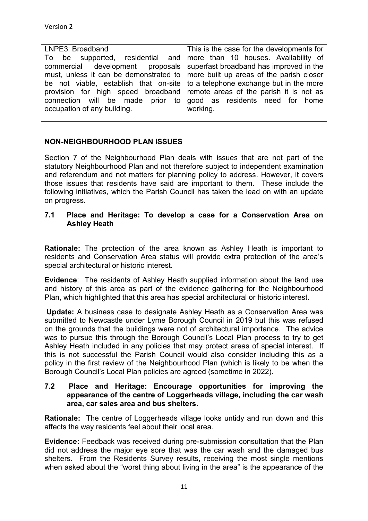| LNPE3: Broadband                                                                        | This is the case for the developments for |
|-----------------------------------------------------------------------------------------|-------------------------------------------|
| To be supported, residential and more than 10 houses. Availability of                   |                                           |
| commercial development proposals superfast broadband has improved in the                |                                           |
| must, unless it can be demonstrated to $\vert$ more built up areas of the parish closer |                                           |
| be not viable, establish that on-site $\vert$ to a telephone exchange but in the more   |                                           |
| provision for high speed broadband remote areas of the parish it is not as              |                                           |
| connection will be made prior to good as residents need for home                        |                                           |
| occupation of any building.                                                             | working.                                  |
|                                                                                         |                                           |

#### **NON-NEIGHBOURHOOD PLAN ISSUES**

Section 7 of the Neighbourhood Plan deals with issues that are not part of the statutory Neighbourhood Plan and not therefore subject to independent examination and referendum and not matters for planning policy to address. However, it covers those issues that residents have said are important to them. These include the following initiatives, which the Parish Council has taken the lead on with an update on progress.

#### **7.1 Place and Heritage: To develop a case for a Conservation Area on Ashley Heath**

**Rationale:** The protection of the area known as Ashley Heath is important to residents and Conservation Area status will provide extra protection of the area's special architectural or historic interest.

**Evidence**: The residents of Ashley Heath supplied information about the land use and history of this area as part of the evidence gathering for the Neighbourhood Plan, which highlighted that this area has special architectural or historic interest.

**Update:** A business case to designate Ashley Heath as a Conservation Area was submitted to Newcastle under Lyme Borough Council in 2019 but this was refused on the grounds that the buildings were not of architectural importance. The advice was to pursue this through the Borough Council's Local Plan process to try to get Ashley Heath included in any policies that may protect areas of special interest. If this is not successful the Parish Council would also consider including this as a policy in the first review of the Neighbourhood Plan (which is likely to be when the Borough Council's Local Plan policies are agreed (sometime in 2022).

#### **7.2 Place and Heritage: Encourage opportunities for improving the appearance of the centre of Loggerheads village, including the car wash area, car sales area and bus shelters.**

**Rationale:** The centre of Loggerheads village looks untidy and run down and this affects the way residents feel about their local area.

**Evidence:** Feedback was received during pre-submission consultation that the Plan did not address the major eye sore that was the car wash and the damaged bus shelters. From the Residents Survey results, receiving the most single mentions when asked about the "worst thing about living in the area" is the appearance of the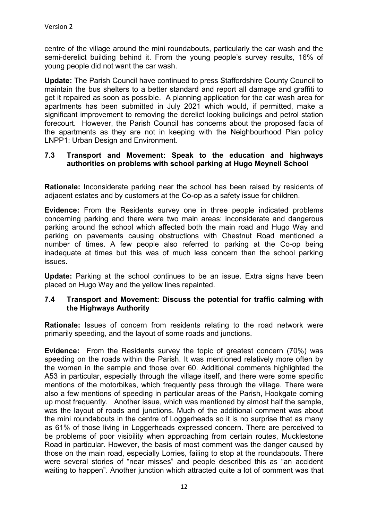centre of the village around the mini roundabouts, particularly the car wash and the semi-derelict building behind it. From the young people's survey results, 16% of young people did not want the car wash.

**Update:** The Parish Council have continued to press Staffordshire County Council to maintain the bus shelters to a better standard and report all damage and graffiti to get it repaired as soon as possible. A planning application for the car wash area for apartments has been submitted in July 2021 which would, if permitted, make a significant improvement to removing the derelict looking buildings and petrol station forecourt. However, the Parish Council has concerns about the proposed facia of the apartments as they are not in keeping with the Neighbourhood Plan policy LNPP1: Urban Design and Environment.

#### **7.3 Transport and Movement: Speak to the education and highways authorities on problems with school parking at Hugo Meynell School**

**Rationale:** Inconsiderate parking near the school has been raised by residents of adjacent estates and by customers at the Co-op as a safety issue for children.

**Evidence:** From the Residents survey one in three people indicated problems concerning parking and there were two main areas: inconsiderate and dangerous parking around the school which affected both the main road and Hugo Way and parking on pavements causing obstructions with Chestnut Road mentioned a number of times. A few people also referred to parking at the Co-op being inadequate at times but this was of much less concern than the school parking issues.

**Update:** Parking at the school continues to be an issue. Extra signs have been placed on Hugo Way and the yellow lines repainted.

#### **7.4 Transport and Movement: Discuss the potential for traffic calming with the Highways Authority**

**Rationale:** Issues of concern from residents relating to the road network were primarily speeding, and the layout of some roads and junctions.

**Evidence:** From the Residents survey the topic of greatest concern (70%) was speeding on the roads within the Parish. It was mentioned relatively more often by the women in the sample and those over 60. Additional comments highlighted the A53 in particular, especially through the village itself, and there were some specific mentions of the motorbikes, which frequently pass through the village. There were also a few mentions of speeding in particular areas of the Parish, Hookgate coming up most frequently. Another issue, which was mentioned by almost half the sample, was the layout of roads and junctions. Much of the additional comment was about the mini roundabouts in the centre of Loggerheads so it is no surprise that as many as 61% of those living in Loggerheads expressed concern. There are perceived to be problems of poor visibility when approaching from certain routes, Mucklestone Road in particular. However, the basis of most comment was the danger caused by those on the main road, especially Lorries, failing to stop at the roundabouts. There were several stories of "near misses" and people described this as "an accident waiting to happen". Another junction which attracted quite a lot of comment was that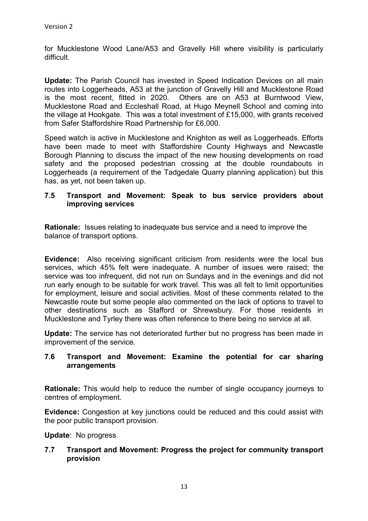for Mucklestone Wood Lane/A53 and Gravelly Hill where visibility is particularly difficult.

**Update:** The Parish Council has invested in Speed Indication Devices on all main routes into Loggerheads, A53 at the junction of Gravelly Hill and Mucklestone Road is the most recent, fitted in 2020. Others are on A53 at Burntwood View, Mucklestone Road and Eccleshall Road, at Hugo Meynell School and coming into the village at Hookgate. This was a total investment of £15,000, with grants received from Safer Staffordshire Road Partnership for £6,000.

Speed watch is active in Mucklestone and Knighton as well as Loggerheads. Efforts have been made to meet with Staffordshire County Highways and Newcastle Borough Planning to discuss the impact of the new housing developments on road safety and the proposed pedestrian crossing at the double roundabouts in Loggerheads (a requirement of the Tadgedale Quarry planning application) but this has, as yet, not been taken up.

#### **7.5 Transport and Movement: Speak to bus service providers about improving services**

**Rationale:** Issues relating to inadequate bus service and a need to improve the balance of transport options.

**Evidence:** Also receiving significant criticism from residents were the local bus services, which 45% felt were inadequate. A number of issues were raised; the service was too infrequent, did not run on Sundays and in the evenings and did not run early enough to be suitable for work travel. This was all felt to limit opportunities for employment, leisure and social activities. Most of these comments related to the Newcastle route but some people also commented on the lack of options to travel to other destinations such as Stafford or Shrewsbury. For those residents in Mucklestone and Tyrley there was often reference to there being no service at all.

**Update:** The service has not deteriorated further but no progress has been made in improvement of the service.

#### **7.6 Transport and Movement: Examine the potential for car sharing arrangements**

**Rationale:** This would help to reduce the number of single occupancy journeys to centres of employment.

**Evidence:** Congestion at key junctions could be reduced and this could assist with the poor public transport provision.

**Update**: No progress.

#### **7.7 Transport and Movement: Progress the project for community transport provision**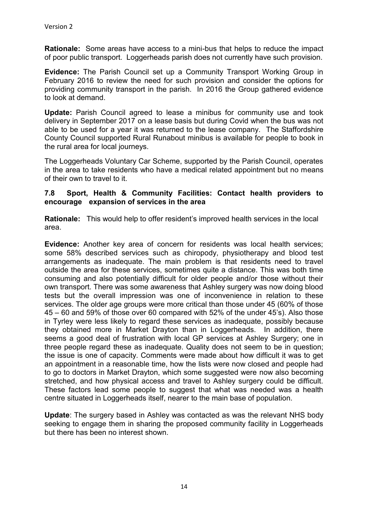**Rationale:** Some areas have access to a mini-bus that helps to reduce the impact of poor public transport. Loggerheads parish does not currently have such provision.

**Evidence:** The Parish Council set up a Community Transport Working Group in February 2016 to review the need for such provision and consider the options for providing community transport in the parish. In 2016 the Group gathered evidence to look at demand.

**Update:** Parish Council agreed to lease a minibus for community use and took delivery in September 2017 on a lease basis but during Covid when the bus was not able to be used for a year it was returned to the lease company. The Staffordshire County Council supported Rural Runabout minibus is available for people to book in the rural area for local journeys.

The Loggerheads Voluntary Car Scheme, supported by the Parish Council, operates in the area to take residents who have a medical related appointment but no means of their own to travel to it.

#### **7.8 Sport, Health & Community Facilities: Contact health providers to encourage expansion of services in the area**

**Rationale:** This would help to offer resident's improved health services in the local area.

**Evidence:** Another key area of concern for residents was local health services; some 58% described services such as chiropody, physiotherapy and blood test arrangements as inadequate. The main problem is that residents need to travel outside the area for these services, sometimes quite a distance. This was both time consuming and also potentially difficult for older people and/or those without their own transport. There was some awareness that Ashley surgery was now doing blood tests but the overall impression was one of inconvenience in relation to these services. The older age groups were more critical than those under 45 (60% of those 45 – 60 and 59% of those over 60 compared with 52% of the under 45's). Also those in Tyrley were less likely to regard these services as inadequate, possibly because they obtained more in Market Drayton than in Loggerheads. In addition, there seems a good deal of frustration with local GP services at Ashley Surgery; one in three people regard these as inadequate. Quality does not seem to be in question; the issue is one of capacity. Comments were made about how difficult it was to get an appointment in a reasonable time, how the lists were now closed and people had to go to doctors in Market Drayton, which some suggested were now also becoming stretched, and how physical access and travel to Ashley surgery could be difficult. These factors lead some people to suggest that what was needed was a health centre situated in Loggerheads itself, nearer to the main base of population.

**Update**: The surgery based in Ashley was contacted as was the relevant NHS body seeking to engage them in sharing the proposed community facility in Loggerheads but there has been no interest shown.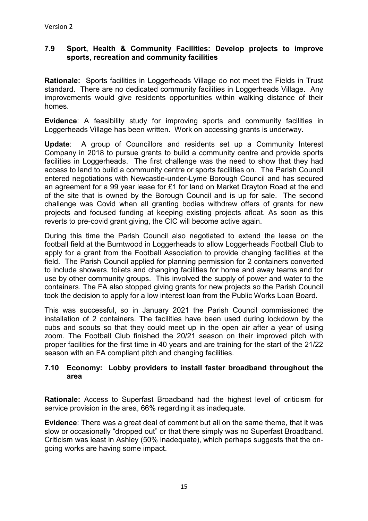#### **7.9 Sport, Health & Community Facilities: Develop projects to improve sports, recreation and community facilities**

**Rationale:** Sports facilities in Loggerheads Village do not meet the Fields in Trust standard. There are no dedicated community facilities in Loggerheads Village. Any improvements would give residents opportunities within walking distance of their homes.

**Evidence**: A feasibility study for improving sports and community facilities in Loggerheads Village has been written. Work on accessing grants is underway.

**Update**: A group of Councillors and residents set up a Community Interest Company in 2018 to pursue grants to build a community centre and provide sports facilities in Loggerheads. The first challenge was the need to show that they had access to land to build a community centre or sports facilities on. The Parish Council entered negotiations with Newcastle-under-Lyme Borough Council and has secured an agreement for a 99 year lease for £1 for land on Market Drayton Road at the end of the site that is owned by the Borough Council and is up for sale. The second challenge was Covid when all granting bodies withdrew offers of grants for new projects and focused funding at keeping existing projects afloat. As soon as this reverts to pre-covid grant giving, the CIC will become active again.

During this time the Parish Council also negotiated to extend the lease on the football field at the Burntwood in Loggerheads to allow Loggerheads Football Club to apply for a grant from the Football Association to provide changing facilities at the field. The Parish Council applied for planning permission for 2 containers converted to include showers, toilets and changing facilities for home and away teams and for use by other community groups. This involved the supply of power and water to the containers. The FA also stopped giving grants for new projects so the Parish Council took the decision to apply for a low interest loan from the Public Works Loan Board.

This was successful, so in January 2021 the Parish Council commissioned the installation of 2 containers. The facilities have been used during lockdown by the cubs and scouts so that they could meet up in the open air after a year of using zoom. The Football Club finished the 20/21 season on their improved pitch with proper facilities for the first time in 40 years and are training for the start of the 21/22 season with an FA compliant pitch and changing facilities.

#### **7.10 Economy: Lobby providers to install faster broadband throughout the area**

**Rationale:** Access to Superfast Broadband had the highest level of criticism for service provision in the area, 66% regarding it as inadequate.

**Evidence**: There was a great deal of comment but all on the same theme, that it was slow or occasionally "dropped out" or that there simply was no Superfast Broadband. Criticism was least in Ashley (50% inadequate), which perhaps suggests that the ongoing works are having some impact.